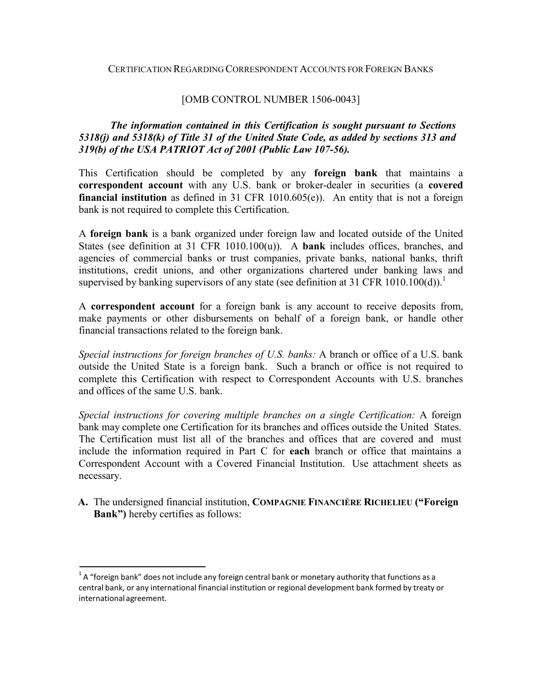#### CERTIFICATION REGARDING CORRESPONDENT ACCOUNTS FOR FOREIGN BANKS

#### [OMB CONTROL NUMBER 1506-0043]

### *The information contained in this Certification is sought pursuant to Sections 5318(j) and 5318(k) of Title 31 of the United State Code, as added by sections 313 and 319(b) of the USA PATRIOT Act of 2001 (Public Law 107-56).*

This Certification should be completed by any **foreign bank** that maintains a **correspondent account** with any U.S. bank or broker-dealer in securities (a **covered financial institution** as defined in 31 CFR 1010.605(e)). An entity that is not a foreign bank is not required to complete this Certification.

A **foreign bank** is a bank organized under foreign law and located outside of the United States (see definition at 31 CFR 1010.100(u)). A **bank** includes offices, branches, and agencies of commercial banks or trust companies, private banks, national banks, thrift institutions, credit unions, and other organizations chartered under banking laws and supervised by banking supervisors of any state (see definition at 31 CFR 1010.100(d)).

A **correspondent account** for a foreign bank is any account to receive deposits from, make payments or other disbursements on behalf of a foreign bank, or handle other financial transactions related to the foreign bank.

*Special instructions for foreign branches of U.S. banks:* A branch or office of a U.S. bank outside the United State is a foreign bank. Such a branch or office is not required to complete this Certification with respect to Correspondent Accounts with U.S. branches and offices of the same U.S. bank.

*Special instructions for covering multiple branches on a single Certification:* A foreign bank may complete one Certification for its branches and offices outside the United States. The Certification must list all of the branches and offices that are covered and must include the information required in Part C for **each** branch or office that maintains a Correspondent Account with a Covered Financial Institution. Use attachment sheets as necessary.

**A.** The undersigned financial institution, **COMPAGNIE FINANCIÈRE RICHELIEU ("Foreign Bank")** hereby certifies as follows:

 $1A$  "foreign bank" does not include any foreign central bank or monetary authority that functions as a central bank, or any international financial institution or regional development bank formed by treaty or international agreement.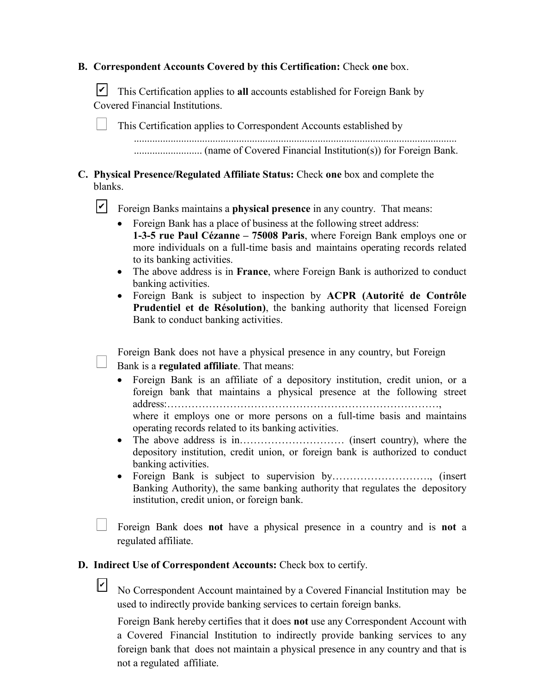|  | <b>B. Correspondent Accounts Covered by this Certification: Check one box.</b> |  |  |  |  |  |  |
|--|--------------------------------------------------------------------------------|--|--|--|--|--|--|
|--|--------------------------------------------------------------------------------|--|--|--|--|--|--|

This Certification applies to **all** accounts established for Foreign Bank by ✔ Covered Financial Institutions.

This Certification applies to Correspondent Accounts established by ........................................................................................................................... .......................... (name of Covered Financial Institution(s)) for Foreign Bank.

**C. Physical Presence/Regulated Affiliate Status:** Check **one** box and complete the blanks.

**T** Foreign Banks maintains a **physical presence** in any country. That means:

- Foreign Bank has a place of business at the following street address: **1-3-5 rue Paul Cézanne – 75008 Paris**, where Foreign Bank employs one or more individuals on a full-time basis and maintains operating records related to its banking activities.
- The above address is in **France**, where Foreign Bank is authorized to conduct banking activities.
- Foreign Bank is subject to inspection by **ACPR (Autorité de Contrôle Prudentiel et de Résolution)**, the banking authority that licensed Foreign Bank to conduct banking activities.

Foreign Bank does not have a physical presence in any country, but Foreign Bank is a **regulated affiliate**. That means:

- Foreign Bank is an affiliate of a depository institution, credit union, or a foreign bank that maintains a physical presence at the following street address:……………………………………………………………………, where it employs one or more persons on a full-time basis and maintains operating records related to its banking activities.
- The above address is in………………………… (insert country), where the depository institution, credit union, or foreign bank is authorized to conduct banking activities.
- Foreign Bank is subject to supervision by………………………., (insert Banking Authority), the same banking authority that regulates the depository institution, credit union, or foreign bank.

Foreign Bank does **not** have a physical presence in a country and is **not** a regulated affiliate.

**D. Indirect Use of Correspondent Accounts:** Check box to certify.

 $\mathsf{v}$ 

No Correspondent Account maintained by a Covered Financial Institution may be used to indirectly provide banking services to certain foreign banks.

Foreign Bank hereby certifies that it does **not** use any Correspondent Account with a Covered Financial Institution to indirectly provide banking services to any foreign bank that does not maintain a physical presence in any country and that is not a regulated affiliate.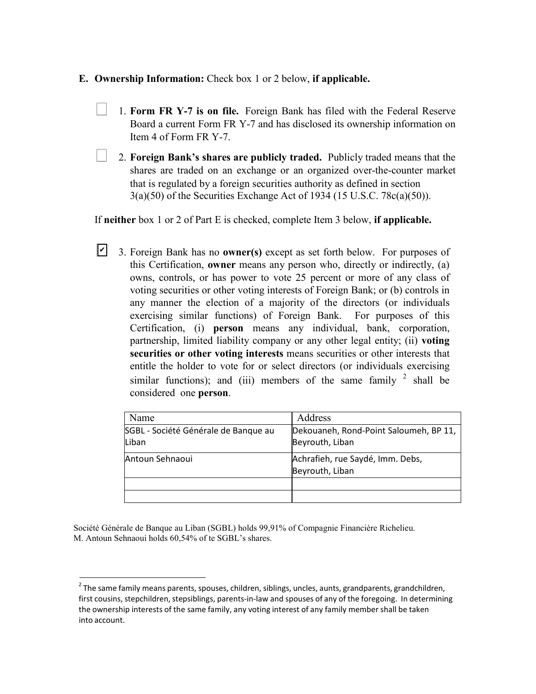### **E. Ownership Information:** Check box 1 or 2 below, **if applicable.**

- 1. **Form FR Y-7 is on file.** Foreign Bank has filed with the Federal Reserve Board a current Form FR Y-7 and has disclosed its ownership information on Item 4 of Form FR Y-7.
- 2. **Foreign Bank's shares are publicly traded.** Publicly traded means that the shares are traded on an exchange or an organized over-the-counter market that is regulated by a foreign securities authority as defined in section 3(a)(50) of the Securities Exchange Act of 1934 (15 U.S.C. 78c(a)(50)).

If **neither** box 1 or 2 of Part E is checked, complete Item 3 below, **if applicable.**

3. Foreign Bank has no **owner(s)** except as set forth below. For purposes of this Certification, **owner** means any person who, directly or indirectly, (a) owns, controls, or has power to vote 25 percent or more of any class of voting securities or other voting interests of Foreign Bank; or (b) controls in any manner the election of a majority of the directors (or individuals exercising similar functions) of Foreign Bank. For purposes of this Certification, (i) **person** means any individual, bank, corporation, partnership, limited liability company or any other legal entity; (ii) **voting securities or other voting interests** means securities or other interests that entitle the holder to vote for or select directors (or individuals exercising similar functions); and (iii) members of the same family  $2$  shall be considered one **person**.  $\vert\mathbf{v}\vert$ 

| Name                                          | Address                                                   |
|-----------------------------------------------|-----------------------------------------------------------|
| SGBL - Société Générale de Banque au<br>Liban | Dekouaneh, Rond-Point Saloumeh, BP 11,<br>Beyrouth, Liban |
|                                               |                                                           |
| Antoun Sehnaoui                               | Achrafieh, rue Saydé, Imm. Debs,                          |
|                                               | Beyrouth, Liban                                           |
|                                               |                                                           |
|                                               |                                                           |

Société Générale de Banque au Liban (SGBL) holds 99,91% of Compagnie Financière Richelieu. M. Antoun Sehnaoui holds 60,54% of te SGBL's shares.

 $2$  The same family means parents, spouses, children, siblings, uncles, aunts, grandparents, grandchildren, first cousins, stepchildren, stepsiblings, parents-in-law and spouses of any of the foregoing. In determining the ownership interests of the same family, any voting interest of any family member shall be taken into account.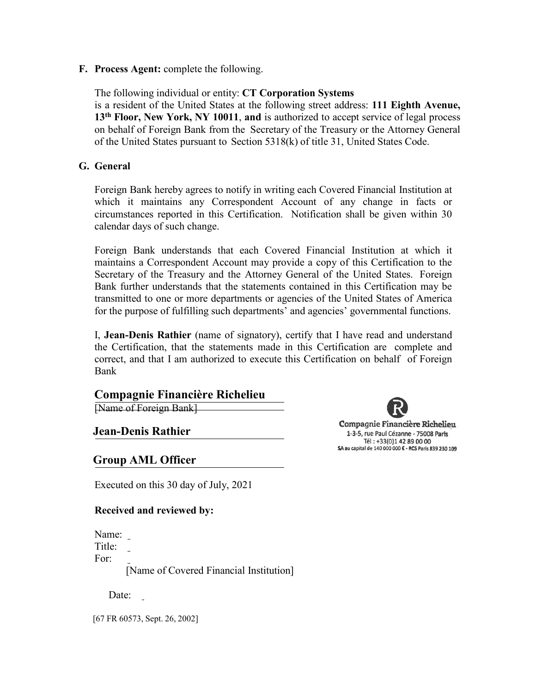**F. Process Agent:** complete the following.

The following individual or entity: **CT Corporation Systems** is a resident of the United States at the following street address: **111 Eighth Avenue, 13th Floor, New York, NY 10011**, **and** is authorized to accept service of legal process on behalf of Foreign Bank from the Secretary of the Treasury or the Attorney General of the United States pursuant to Section 5318(k) of title 31, United States Code.

### **G. General**

Foreign Bank hereby agrees to notify in writing each Covered Financial Institution at which it maintains any Correspondent Account of any change in facts or circumstances reported in this Certification. Notification shall be given within 30 calendar days of such change.

Foreign Bank understands that each Covered Financial Institution at which it maintains a Correspondent Account may provide a copy of this Certification to the Secretary of the Treasury and the Attorney General of the United States. Foreign Bank further understands that the statements contained in this Certification may be transmitted to one or more departments or agencies of the United States of America for the purpose of fulfilling such departments' and agencies' governmental functions.

I, **Jean-Denis Rathier** (name of signatory), certify that I have read and understand the Certification, that the statements made in this Certification are complete and correct, and that I am authorized to execute this Certification on behalf of Foreign Bank

## **Compagnie Financière Richelieu**

[Name of Foreign Bank]

**Jean-Denis Rathier**

**Group AML Officer**

Executed on this 30 day of July, 2021

#### **Received and reviewed by:**

Name: Title: For:

[Name of Covered Financial Institution]

Date:

[67 FR 60573, Sept. 26, 2002]

Compagnie Financière Richelieu 1-3-5, rue Paul Cézanne - 75008 Paris Tél: +33(0)1 42 89 00 00 SA au capital de 140 000 000 € - RCS Paris 839 230 109